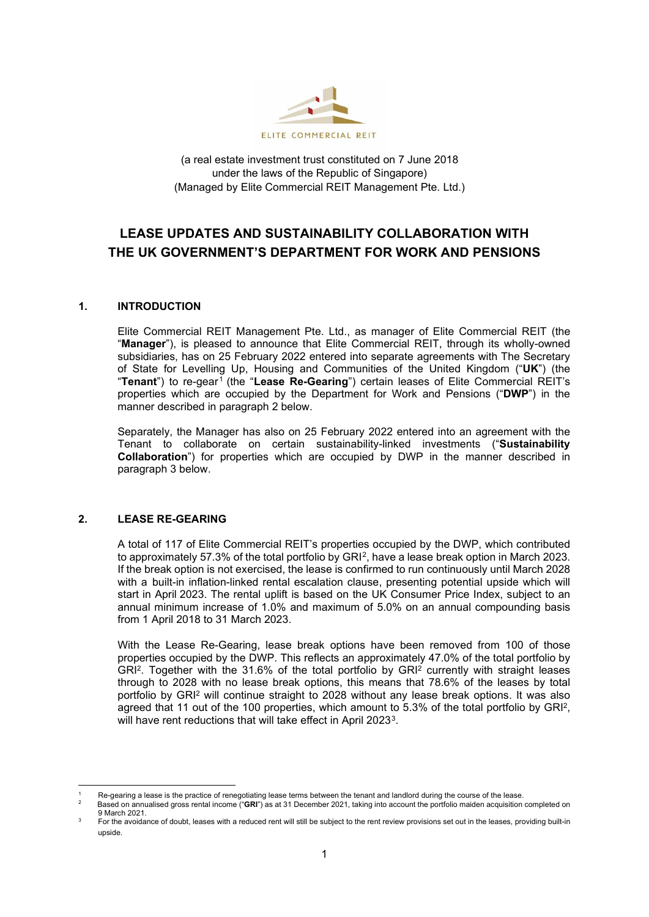

(a real estate investment trust constituted on 7 June 2018 under the laws of the Republic of Singapore) (Managed by Elite Commercial REIT Management Pte. Ltd.)

# **LEASE UPDATES AND SUSTAINABILITY COLLABORATION WITH THE UK GOVERNMENT'S DEPARTMENT FOR WORK AND PENSIONS**

## **1. INTRODUCTION**

Elite Commercial REIT Management Pte. Ltd., as manager of Elite Commercial REIT (the "**Manager**"), is pleased to announce that Elite Commercial REIT, through its wholly-owned subsidiaries, has on 25 February 2022 entered into separate agreements with The Secretary of State for Levelling Up, Housing and Communities of the United Kingdom ("**UK**") (the "**Tenant**") to re-gear<sup>[1](#page-0-0)</sup> (the "Lease Re-Gearing") certain leases of Elite Commercial REIT's properties which are occupied by the Department for Work and Pensions ("**DWP**") in the manner described in paragraph 2 below.

Separately, the Manager has also on 25 February 2022 entered into an agreement with the Tenant to collaborate on certain sustainability-linked investments ("**Sustainability Collaboration**") for properties which are occupied by DWP in the manner described in paragraph 3 below.

### **2. LEASE RE-GEARING**

A total of 117 of Elite Commercial REIT's properties occupied by the DWP, which contributed to approximately 57.3% of the total portfolio by GRI<sup>[2](#page-0-1)</sup>, have a lease break option in March 2023. If the break option is not exercised, the lease is confirmed to run continuously until March 2028 with a built-in inflation-linked rental escalation clause, presenting potential upside which will start in April 2023. The rental uplift is based on the UK Consumer Price Index, subject to an annual minimum increase of 1.0% and maximum of 5.0% on an annual compounding basis from 1 April 2018 to 31 March 2023.

With the Lease Re-Gearing, lease break options have been removed from 100 of those properties occupied by the DWP. This reflects an approximately 47.0% of the total portfolio by GRI2. Together with the 31.6% of the total portfolio by GRI2 currently with straight leases through to 2028 with no lease break options, this means that 78.6% of the leases by total portfolio by GRI<sup>2</sup> will continue straight to 2028 without any lease break options. It was also agreed that 11 out of the 100 properties, which amount to 5.3% of the total portfolio by GRI<sup>2</sup>, will have rent reductions that will take effect in April 2023<sup>3</sup>.

<span id="page-0-0"></span>Re-gearing a lease is the practice of renegotiating lease terms between the tenant and landlord during the course of the lease.

<span id="page-0-1"></span><sup>2</sup> Based on annualised gross rental income ("**GRI**") as at 31 December 2021, taking into account the portfolio maiden acquisition completed on 9 March 2021.

<span id="page-0-2"></span>For the avoidance of doubt, leases with a reduced rent will still be subject to the rent review provisions set out in the leases, providing built-in upside.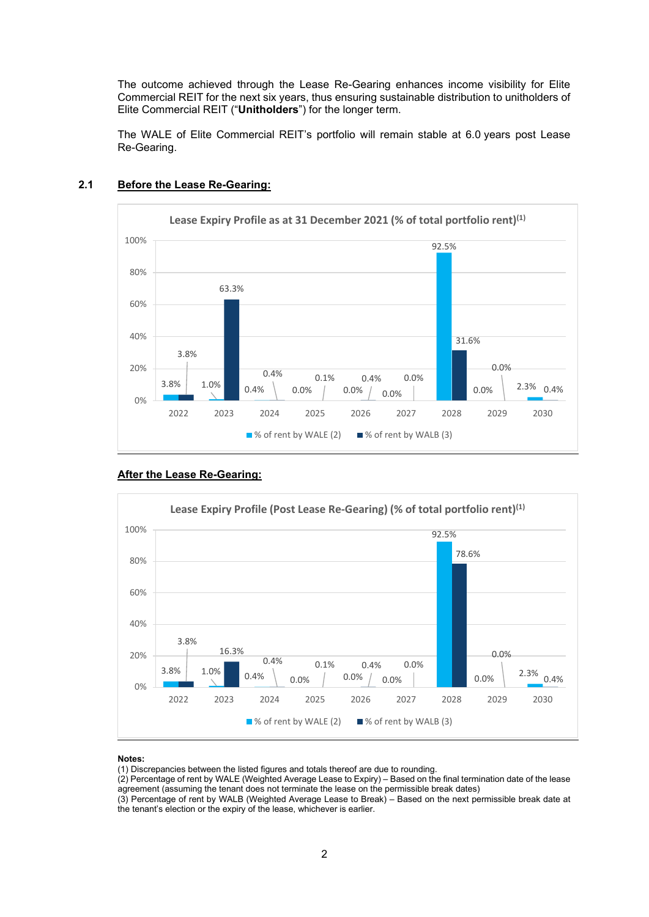The outcome achieved through the Lease Re-Gearing enhances income visibility for Elite Commercial REIT for the next six years, thus ensuring sustainable distribution to unitholders of Elite Commercial REIT ("**Unitholders**") for the longer term.

The WALE of Elite Commercial REIT's portfolio will remain stable at 6.0 years post Lease Re-Gearing.



## **2.1 Before the Lease Re-Gearing:**

## **After the Lease Re-Gearing:**



#### **Notes:**

(1) Discrepancies between the listed figures and totals thereof are due to rounding.

(2) Percentage of rent by WALE (Weighted Average Lease to Expiry) – Based on the final termination date of the lease agreement (assuming the tenant does not terminate the lease on the permissible break dates)

(3) Percentage of rent by WALB (Weighted Average Lease to Break) – Based on the next permissible break date at the tenant's election or the expiry of the lease, whichever is earlier.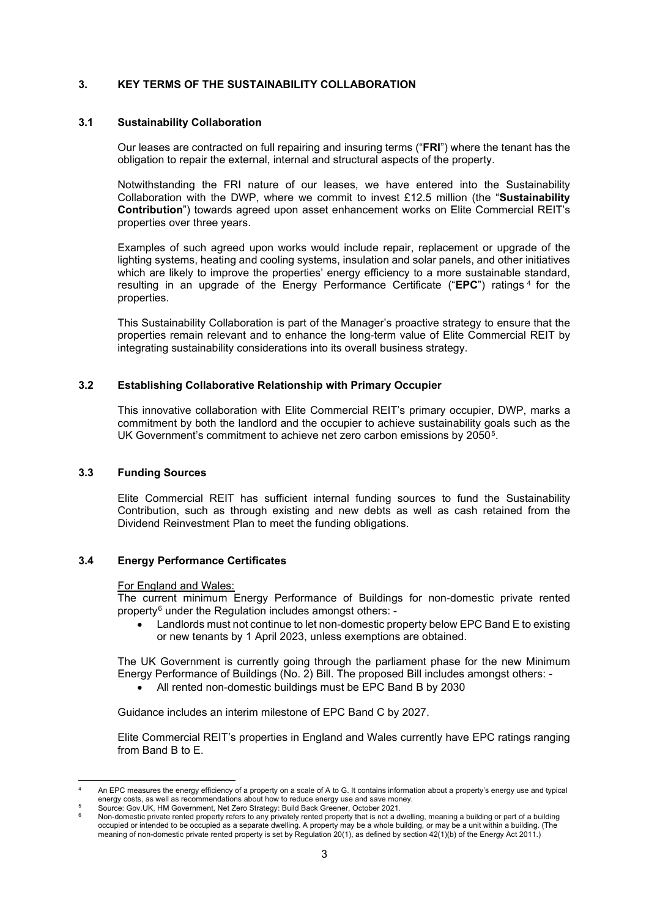## **3. KEY TERMS OF THE SUSTAINABILITY COLLABORATION**

#### **3.1 Sustainability Collaboration**

Our leases are contracted on full repairing and insuring terms ("**FRI**") where the tenant has the obligation to repair the external, internal and structural aspects of the property.

Notwithstanding the FRI nature of our leases, we have entered into the Sustainability Collaboration with the DWP, where we commit to invest £12.5 million (the "**Sustainability Contribution**") towards agreed upon asset enhancement works on Elite Commercial REIT's properties over three years.

Examples of such agreed upon works would include repair, replacement or upgrade of the lighting systems, heating and cooling systems, insulation and solar panels, and other initiatives which are likely to improve the properties' energy efficiency to a more sustainable standard, resulting in an upgrade of the Energy Performance Certificate ("**EPC**") ratings [4](#page-2-0) for the properties.

This Sustainability Collaboration is part of the Manager's proactive strategy to ensure that the properties remain relevant and to enhance the long-term value of Elite Commercial REIT by integrating sustainability considerations into its overall business strategy.

## **3.2 Establishing Collaborative Relationship with Primary Occupier**

This innovative collaboration with Elite Commercial REIT's primary occupier, DWP, marks a commitment by both the landlord and the occupier to achieve sustainability goals such as the UK Government's commitment to achieve net zero carbon emissions by 2050<sup>5</sup>.

#### **3.3 Funding Sources**

Elite Commercial REIT has sufficient internal funding sources to fund the Sustainability Contribution, such as through existing and new debts as well as cash retained from the Dividend Reinvestment Plan to meet the funding obligations.

#### **3.4 Energy Performance Certificates**

#### For England and Wales:

The current minimum Energy Performance of Buildings for non-domestic private rented property[6](#page-2-2) under the Regulation includes amongst others: -

• Landlords must not continue to let non-domestic property below EPC Band E to existing or new tenants by 1 April 2023, unless exemptions are obtained.

The UK Government is currently going through the parliament phase for the new Minimum Energy Performance of Buildings (No. 2) Bill. The proposed Bill includes amongst others: -

• All rented non-domestic buildings must be EPC Band B by 2030

Guidance includes an interim milestone of EPC Band C by 2027.

Elite Commercial REIT's properties in England and Wales currently have EPC ratings ranging from Band B to E.

<span id="page-2-0"></span><sup>4</sup>An EPC measures the energy efficiency of a property on a scale of A to G. It contains information about a property's energy use and typical energy costs, as well as recommendations about how to reduce energy use and save money.

<sup>5</sup> Source: Gov.UK, HM Government, Net Zero Strategy: Build Back Greener, October 2021.

<span id="page-2-2"></span><span id="page-2-1"></span><sup>6</sup> Non-domestic private rented property refers to any privately rented property that is not a dwelling, meaning a building or part of a building occupied or intended to be occupied as a separate dwelling. A property may be a whole building, or may be a unit within a building. (The meaning of non-domestic private rented property is set by Regulation 20(1), as defined by section 42(1)(b) of the Energy Act 2011.)